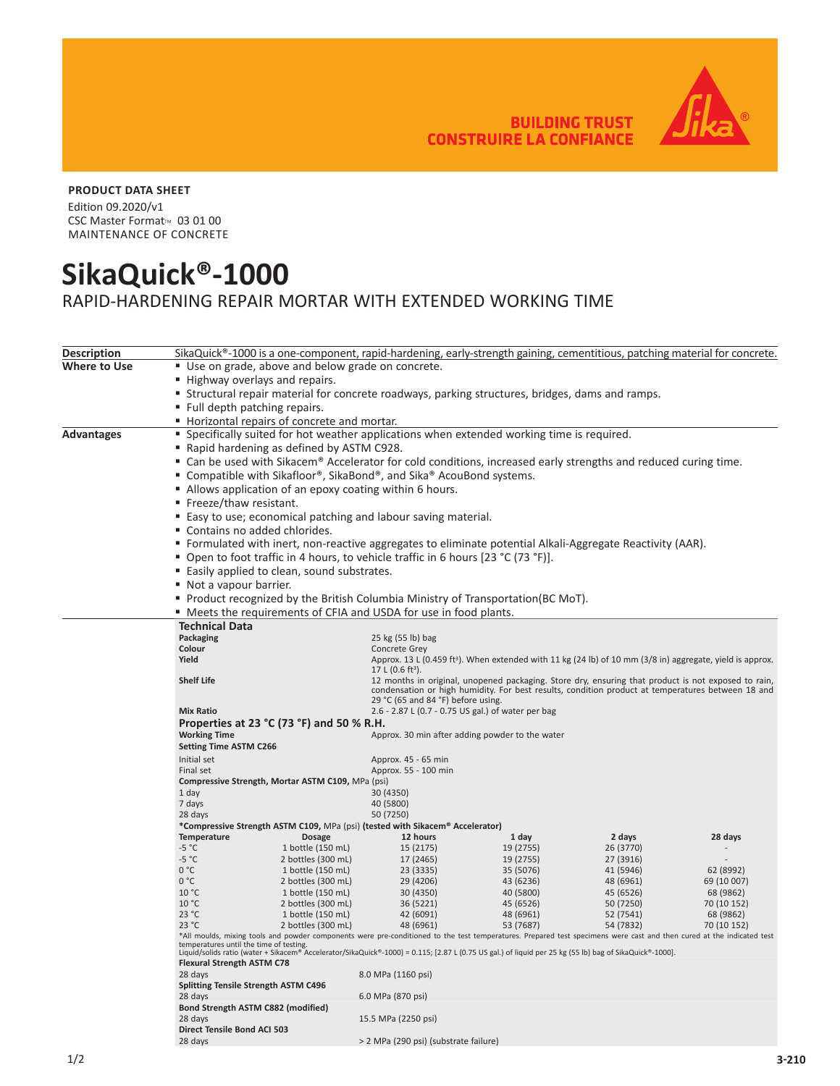**BUILDING TRUST CONSTRUIRE LA CONFIANCE** 



## **PRODUCT DATA SHEET**

Edition 09.2020/v1 CSC Master Format™ 03 01 00 MAINTENANCE OF CONCRETE

## **SikaQuick®-1000**

RAPID-HARDENING REPAIR MORTAR WITH EXTENDED WORKING TIME

| <b>Description</b>                                             | SikaQuick®-1000 is a one-component, rapid-hardening, early-strength gaining, cementitious, patching material for concrete.                                                                                                                                                                                          |                                                                               |                                                                                                                       |                        |                        |                          |  |  |
|----------------------------------------------------------------|---------------------------------------------------------------------------------------------------------------------------------------------------------------------------------------------------------------------------------------------------------------------------------------------------------------------|-------------------------------------------------------------------------------|-----------------------------------------------------------------------------------------------------------------------|------------------------|------------------------|--------------------------|--|--|
| Where to Use                                                   | ■ Use on grade, above and below grade on concrete.<br>Highway overlays and repairs.                                                                                                                                                                                                                                 |                                                                               |                                                                                                                       |                        |                        |                          |  |  |
|                                                                |                                                                                                                                                                                                                                                                                                                     |                                                                               |                                                                                                                       |                        |                        |                          |  |  |
|                                                                | <b>Structural repair material for concrete roadways, parking structures, bridges, dams and ramps.</b>                                                                                                                                                                                                               |                                                                               |                                                                                                                       |                        |                        |                          |  |  |
|                                                                | ■ Full depth patching repairs.                                                                                                                                                                                                                                                                                      |                                                                               |                                                                                                                       |                        |                        |                          |  |  |
|                                                                |                                                                                                                                                                                                                                                                                                                     | ■ Horizontal repairs of concrete and mortar.                                  |                                                                                                                       |                        |                        |                          |  |  |
|                                                                |                                                                                                                                                                                                                                                                                                                     |                                                                               |                                                                                                                       |                        |                        |                          |  |  |
| Advantages                                                     | " Specifically suited for hot weather applications when extended working time is required.                                                                                                                                                                                                                          |                                                                               |                                                                                                                       |                        |                        |                          |  |  |
|                                                                | ■ Rapid hardening as defined by ASTM C928.                                                                                                                                                                                                                                                                          |                                                                               |                                                                                                                       |                        |                        |                          |  |  |
|                                                                | ■ Can be used with Sikacem® Accelerator for cold conditions, increased early strengths and reduced curing time.<br>■ Compatible with Sikafloor®, SikaBond®, and Sika® AcouBond systems.<br>■ Allows application of an epoxy coating within 6 hours.                                                                 |                                                                               |                                                                                                                       |                        |                        |                          |  |  |
|                                                                |                                                                                                                                                                                                                                                                                                                     |                                                                               |                                                                                                                       |                        |                        |                          |  |  |
|                                                                |                                                                                                                                                                                                                                                                                                                     |                                                                               |                                                                                                                       |                        |                        |                          |  |  |
|                                                                |                                                                                                                                                                                                                                                                                                                     | ■ Freeze/thaw resistant.                                                      |                                                                                                                       |                        |                        |                          |  |  |
| ■ Easy to use; economical patching and labour saving material. |                                                                                                                                                                                                                                                                                                                     |                                                                               |                                                                                                                       |                        |                        |                          |  |  |
|                                                                |                                                                                                                                                                                                                                                                                                                     | ■ Contains no added chlorides.                                                |                                                                                                                       |                        |                        |                          |  |  |
|                                                                |                                                                                                                                                                                                                                                                                                                     |                                                                               | ■ Formulated with inert, non-reactive aggregates to eliminate potential Alkali-Aggregate Reactivity (AAR).            |                        |                        |                          |  |  |
|                                                                | ■ Open to foot traffic in 4 hours, to vehicle traffic in 6 hours [23 °C (73 °F)].<br>" Easily applied to clean, sound substrates.<br>Not a vapour barrier.<br>■ Product recognized by the British Columbia Ministry of Transportation(BC MoT).<br>" Meets the requirements of CFIA and USDA for use in food plants. |                                                                               |                                                                                                                       |                        |                        |                          |  |  |
|                                                                |                                                                                                                                                                                                                                                                                                                     |                                                                               |                                                                                                                       |                        |                        |                          |  |  |
|                                                                |                                                                                                                                                                                                                                                                                                                     |                                                                               |                                                                                                                       |                        |                        |                          |  |  |
|                                                                |                                                                                                                                                                                                                                                                                                                     |                                                                               |                                                                                                                       |                        |                        |                          |  |  |
|                                                                |                                                                                                                                                                                                                                                                                                                     |                                                                               |                                                                                                                       |                        |                        |                          |  |  |
|                                                                |                                                                                                                                                                                                                                                                                                                     |                                                                               |                                                                                                                       |                        |                        |                          |  |  |
|                                                                | <b>Technical Data</b><br>Packaging                                                                                                                                                                                                                                                                                  |                                                                               | 25 kg (55 lb) bag                                                                                                     |                        |                        |                          |  |  |
|                                                                | Colour                                                                                                                                                                                                                                                                                                              |                                                                               | Concrete Grey                                                                                                         |                        |                        |                          |  |  |
|                                                                | Yield                                                                                                                                                                                                                                                                                                               |                                                                               | Approx. 13 L (0.459 ft <sup>3</sup> ). When extended with 11 kg (24 lb) of 10 mm (3/8 in) aggregate, yield is approx. |                        |                        |                          |  |  |
|                                                                | 17 L (0.6 ft <sup>3</sup> ).                                                                                                                                                                                                                                                                                        |                                                                               |                                                                                                                       |                        |                        |                          |  |  |
|                                                                | <b>Shelf Life</b><br>12 months in original, unopened packaging. Store dry, ensuring that product is not exposed to rain,                                                                                                                                                                                            |                                                                               |                                                                                                                       |                        |                        |                          |  |  |
|                                                                | condensation or high humidity. For best results, condition product at temperatures between 18 and<br>29 °C (65 and 84 °F) before using.                                                                                                                                                                             |                                                                               |                                                                                                                       |                        |                        |                          |  |  |
|                                                                | <b>Mix Ratio</b><br>2.6 - 2.87 L (0.7 - 0.75 US gal.) of water per bag                                                                                                                                                                                                                                              |                                                                               |                                                                                                                       |                        |                        |                          |  |  |
|                                                                | Properties at 23 $^{\circ}$ C (73 $^{\circ}$ F) and 50 % R.H.                                                                                                                                                                                                                                                       |                                                                               |                                                                                                                       |                        |                        |                          |  |  |
|                                                                | <b>Working Time</b><br>Approx. 30 min after adding powder to the water                                                                                                                                                                                                                                              |                                                                               |                                                                                                                       |                        |                        |                          |  |  |
|                                                                | <b>Setting Time ASTM C266</b>                                                                                                                                                                                                                                                                                       |                                                                               |                                                                                                                       |                        |                        |                          |  |  |
|                                                                | Initial set                                                                                                                                                                                                                                                                                                         |                                                                               | Approx. 45 - 65 min                                                                                                   |                        |                        |                          |  |  |
|                                                                | Approx. 55 - 100 min<br>Final set                                                                                                                                                                                                                                                                                   |                                                                               |                                                                                                                       |                        |                        |                          |  |  |
|                                                                |                                                                                                                                                                                                                                                                                                                     | Compressive Strength, Mortar ASTM C109, MPa (psi)                             |                                                                                                                       |                        |                        |                          |  |  |
|                                                                | 1 day<br>7 days                                                                                                                                                                                                                                                                                                     |                                                                               | 30 (4350)<br>40 (5800)                                                                                                |                        |                        |                          |  |  |
|                                                                | 28 days                                                                                                                                                                                                                                                                                                             |                                                                               | 50 (7250)                                                                                                             |                        |                        |                          |  |  |
|                                                                |                                                                                                                                                                                                                                                                                                                     | *Compressive Strength ASTM C109, MPa (psi) (tested with Sikacem® Accelerator) |                                                                                                                       |                        |                        |                          |  |  |
|                                                                | Temperature                                                                                                                                                                                                                                                                                                         | <b>Dosage</b>                                                                 | 12 hours                                                                                                              | 1 day                  | 2 days                 | 28 days                  |  |  |
|                                                                | $-5 °C$                                                                                                                                                                                                                                                                                                             | 1 bottle (150 mL)                                                             | 15 (2175)                                                                                                             | 19 (2755)              | 26 (3770)              |                          |  |  |
|                                                                | $-5 °C$                                                                                                                                                                                                                                                                                                             | 2 bottles (300 mL)                                                            | 17 (2465)                                                                                                             | 19 (2755)              | 27 (3916)              |                          |  |  |
|                                                                | 0 °C                                                                                                                                                                                                                                                                                                                | 1 bottle (150 mL)                                                             | 23 (3335)                                                                                                             | 35 (5076)              | 41 (5946)              | 62 (8992)                |  |  |
|                                                                | 0 °C                                                                                                                                                                                                                                                                                                                | 2 bottles (300 mL)                                                            | 29 (4206)                                                                                                             | 43 (6236)              | 48 (6961)              | 69 (10 007)              |  |  |
|                                                                | 10 °C<br>10 °C                                                                                                                                                                                                                                                                                                      | 1 bottle (150 mL)<br>2 bottles (300 mL)                                       | 30 (4350)<br>36 (5221)                                                                                                | 40 (5800)<br>45 (6526) | 45 (6526)<br>50 (7250) | 68 (9862)<br>70 (10 152) |  |  |
|                                                                | 23 °C                                                                                                                                                                                                                                                                                                               | 1 bottle (150 mL)                                                             | 42 (6091)                                                                                                             | 48 (6961)              | 52 (7541)              | 68 (9862)                |  |  |
|                                                                | 23 °C                                                                                                                                                                                                                                                                                                               | 2 bottles (300 mL)                                                            | 48 (6961)                                                                                                             | 53 (7687)              | 54 (7832)              | 70 (10 152)              |  |  |
|                                                                | *All moulds, mixing tools and powder components were pre-conditioned to the test temperatures. Prepared test specimens were cast and then cured at the indicated test                                                                                                                                               |                                                                               |                                                                                                                       |                        |                        |                          |  |  |
|                                                                | temperatures until the time of testing.<br>Liquid/solids ratio (water + Sikacem® Accelerator/SikaQuick®-1000) = 0.115; [2.87 L (0.75 US gal.) of liquid per 25 kg (55 lb) bag of SikaQuick®-1000].                                                                                                                  |                                                                               |                                                                                                                       |                        |                        |                          |  |  |
|                                                                | <b>Flexural Strength ASTM C78</b>                                                                                                                                                                                                                                                                                   |                                                                               |                                                                                                                       |                        |                        |                          |  |  |
|                                                                | 28 days                                                                                                                                                                                                                                                                                                             |                                                                               | 8.0 MPa (1160 psi)                                                                                                    |                        |                        |                          |  |  |
|                                                                | <b>Splitting Tensile Strength ASTM C496</b>                                                                                                                                                                                                                                                                         |                                                                               |                                                                                                                       |                        |                        |                          |  |  |
|                                                                | 28 days                                                                                                                                                                                                                                                                                                             |                                                                               | 6.0 MPa (870 psi)                                                                                                     |                        |                        |                          |  |  |
|                                                                | Bond Strength ASTM C882 (modified)                                                                                                                                                                                                                                                                                  |                                                                               |                                                                                                                       |                        |                        |                          |  |  |
|                                                                | 15.5 MPa (2250 psi)<br>28 days                                                                                                                                                                                                                                                                                      |                                                                               |                                                                                                                       |                        |                        |                          |  |  |
|                                                                | Direct Tensile Bond ACI 503<br>28 days<br>> 2 MPa (290 psi) (substrate failure)                                                                                                                                                                                                                                     |                                                                               |                                                                                                                       |                        |                        |                          |  |  |
|                                                                |                                                                                                                                                                                                                                                                                                                     |                                                                               |                                                                                                                       |                        |                        |                          |  |  |